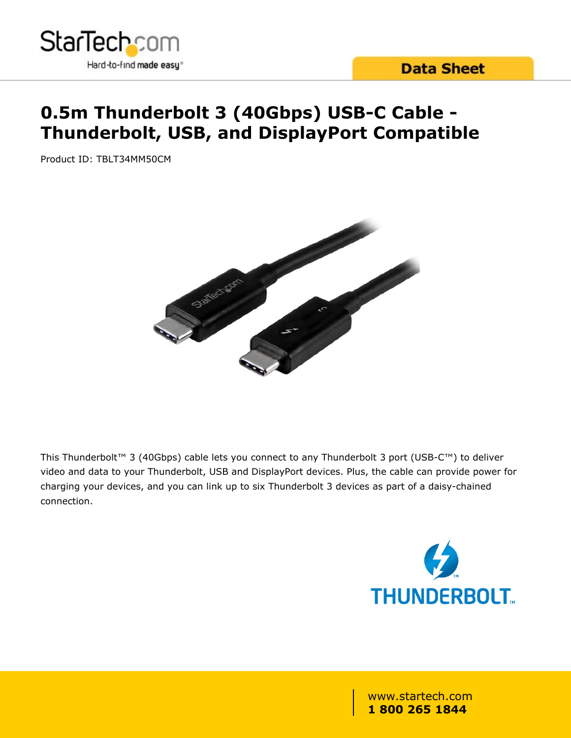

## **0.5m Thunderbolt 3 (40Gbps) USB-C Cable - Thunderbolt, USB, and DisplayPort Compatible**

Product ID: TBLT34MM50CM



This Thunderbolt™ 3 (40Gbps) cable lets you connect to any Thunderbolt 3 port (USB-C™) to deliver video and data to your Thunderbolt, USB and DisplayPort devices. Plus, the cable can provide power for charging your devices, and you can link up to six Thunderbolt 3 devices as part of a daisy-chained connection.

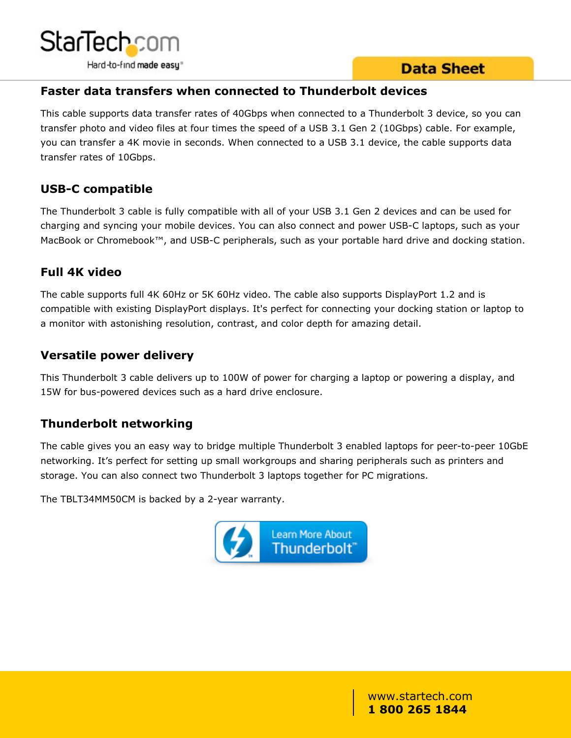



#### **Faster data transfers when connected to Thunderbolt devices**

This cable supports data transfer rates of 40Gbps when connected to a Thunderbolt 3 device, so you can transfer photo and video files at four times the speed of a USB 3.1 Gen 2 (10Gbps) cable. For example, you can transfer a 4K movie in seconds. When connected to a USB 3.1 device, the cable supports data transfer rates of 10Gbps.

#### **USB-C compatible**

The Thunderbolt 3 cable is fully compatible with all of your USB 3.1 Gen 2 devices and can be used for charging and syncing your mobile devices. You can also connect and power USB-C laptops, such as your MacBook or Chromebook™, and USB-C peripherals, such as your portable hard drive and docking station.

#### **Full 4K video**

The cable supports full 4K 60Hz or 5K 60Hz video. The cable also supports DisplayPort 1.2 and is compatible with existing DisplayPort displays. It's perfect for connecting your docking station or laptop to a monitor with astonishing resolution, contrast, and color depth for amazing detail.

#### **Versatile power delivery**

This Thunderbolt 3 cable delivers up to 100W of power for charging a laptop or powering a display, and 15W for bus-powered devices such as a hard drive enclosure.

#### **Thunderbolt networking**

The cable gives you an easy way to bridge multiple Thunderbolt 3 enabled laptops for peer-to-peer 10GbE networking. It's perfect for setting up small workgroups and sharing peripherals such as printers and storage. You can also connect two Thunderbolt 3 laptops together for PC migrations.

The TBLT34MM50CM is backed by a 2-year warranty.

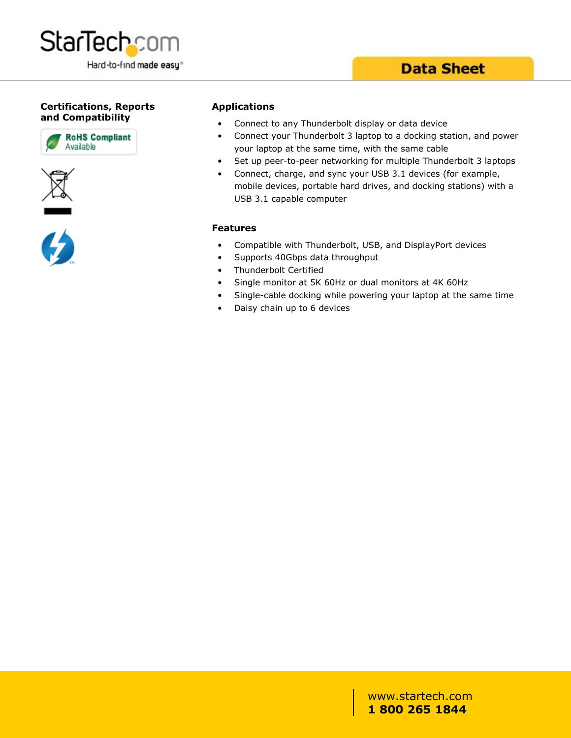

#### **Certifications, Reports and Compatibility**







#### **Applications**

- Connect to any Thunderbolt display or data device
- Connect your Thunderbolt 3 laptop to a docking station, and power your laptop at the same time, with the same cable
- Set up peer-to-peer networking for multiple Thunderbolt 3 laptops
- Connect, charge, and sync your USB 3.1 devices (for example, mobile devices, portable hard drives, and docking stations) with a USB 3.1 capable computer

#### **Features**

- Compatible with Thunderbolt, USB, and DisplayPort devices
- Supports 40Gbps data throughput
- Thunderbolt Certified
- Single monitor at 5K 60Hz or dual monitors at 4K 60Hz
- Single-cable docking while powering your laptop at the same time
- Daisy chain up to 6 devices